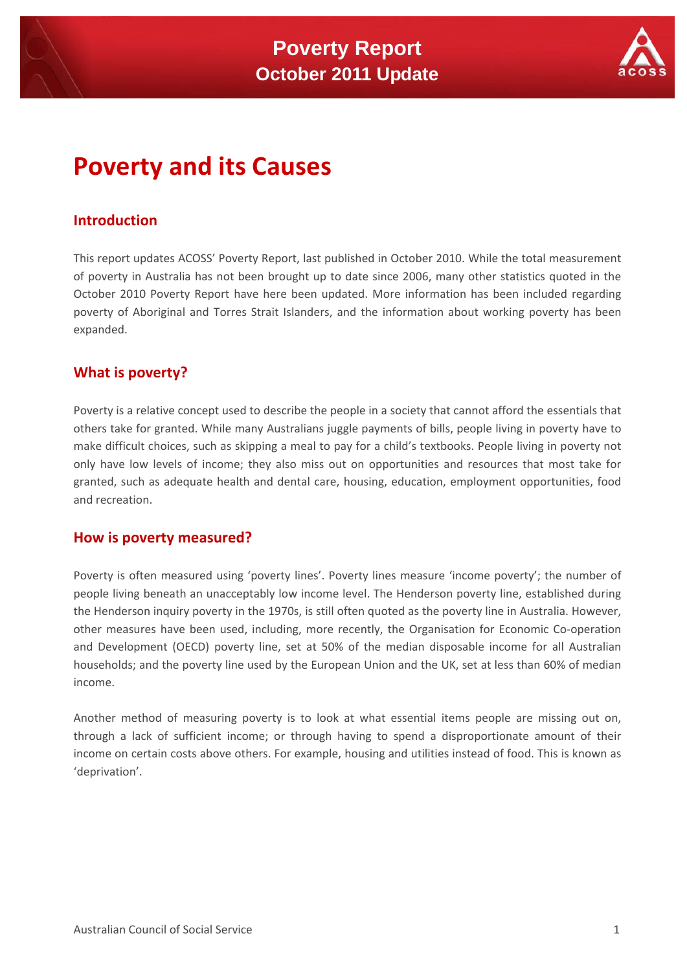

# **Poverty and its Causes**

## **Introduction**

This report updates ACOSS' Poverty Report, last published in October 2010. While the total measurement of poverty in Australia has not been brought up to date since 2006, many other statistics quoted in the October 2010 Poverty Report have here been updated. More information has been included regarding poverty of Aboriginal and Torres Strait Islanders, and the information about working poverty has been expanded.

## **What is poverty?**

Poverty is a relative concept used to describe the people in a society that cannot afford the essentials that others take for granted. While many Australians juggle payments of bills, people living in poverty have to make difficult choices, such as skipping a meal to pay for a child's textbooks. People living in poverty not only have low levels of income; they also miss out on opportunities and resources that most take for granted, such as adequate health and dental care, housing, education, employment opportunities, food and recreation.

## **How is poverty measured?**

Poverty is often measured using 'poverty lines'. Poverty lines measure 'income poverty'; the number of people living beneath an unacceptably low income level. The Henderson poverty line, established during the Henderson inquiry poverty in the 1970s, is still often quoted as the poverty line in Australia. However, other measures have been used, including, more recently, the Organisation for Economic Co-operation and Development (OECD) poverty line, set at 50% of the median disposable income for all Australian households; and the poverty line used by the European Union and the UK, set at less than 60% of median income.

Another method of measuring poverty is to look at what essential items people are missing out on, through a lack of sufficient income; or through having to spend a disproportionate amount of their income on certain costs above others. For example, housing and utilities instead of food. This is known as 'deprivation'.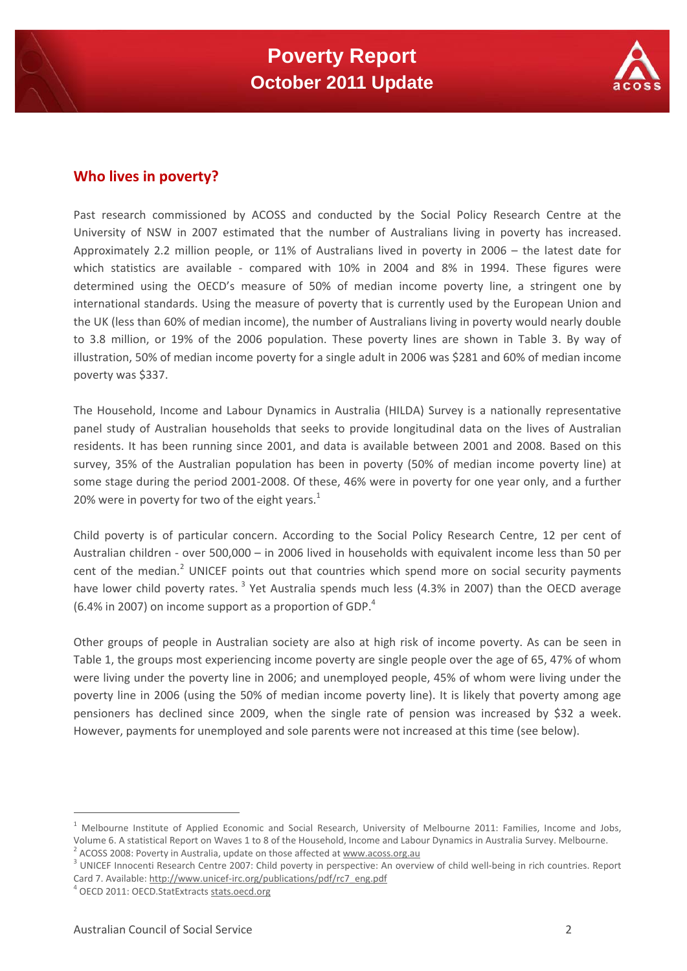

## **Who lives in poverty?**

Past research commissioned by ACOSS and conducted by the Social Policy Research Centre at the University of NSW in 2007 estimated that the number of Australians living in poverty has increased. Approximately 2.2 million people, or 11% of Australians lived in poverty in 2006 – the latest date for which statistics are available - compared with 10% in 2004 and 8% in 1994. These figures were determined using the OECD's measure of 50% of median income poverty line, a stringent one by international standards. Using the measure of poverty that is currently used by the European Union and the UK (less than 60% of median income), the number of Australians living in poverty would nearly double to 3.8 million, or 19% of the 2006 population. These poverty lines are shown in Table 3. By way of illustration, 50% of median income poverty for a single adult in 2006 was \$281 and 60% of median income poverty was \$337.

The Household, Income and Labour Dynamics in Australia (HILDA) Survey is a nationally representative panel study of Australian households that seeks to provide longitudinal data on the lives of Australian residents. It has been running since 2001, and data is available between 2001 and 2008. Based on this survey, 35% of the Australian population has been in poverty (50% of median income poverty line) at some stage during the period 2001-2008. Of these, 46% were in poverty for one year only, and a further 20% were in poverty for two of the eight years.<sup>1</sup>

Child poverty is of particular concern. According to the Social Policy Research Centre, 12 per cent of Australian children ‐ over 500,000 – in 2006 lived in households with equivalent income less than 50 per cent of the median.<sup>2</sup> UNICEF points out that countries which spend more on social security payments have lower child poverty rates.<sup>3</sup> Yet Australia spends much less (4.3% in 2007) than the OECD average (6.4% in 2007) on income support as a proportion of GDP. $4$ 

Other groups of people in Australian society are also at high risk of income poverty. As can be seen in Table 1, the groups most experiencing income poverty are single people over the age of 65, 47% of whom were living under the poverty line in 2006; and unemployed people, 45% of whom were living under the poverty line in 2006 (using the 50% of median income poverty line). It is likely that poverty among age pensioners has declined since 2009, when the single rate of pension was increased by \$32 a week. However, payments for unemployed and sole parents were not increased at this time (see below).

 $1$  Melbourne Institute of Applied Economic and Social Research, University of Melbourne 2011: Families, Income and Jobs, Volume 6. A statistical Report on Waves 1 to 8 of the Household, Income and Labour Dynamics in Australia Survey. Melbourne.<br><sup>2</sup> ACOSS 2008: Poverty in Australia, update on those affected at www.acoss.org.au<br><sup>3</sup> UNICEF Inno

Card 7. Available: http://www.unicef-irc.org/publications/pdf/rc7\_eng.pdf <sup>4</sup> OECD 2011: OECD.StatExtracts stats.oecd.org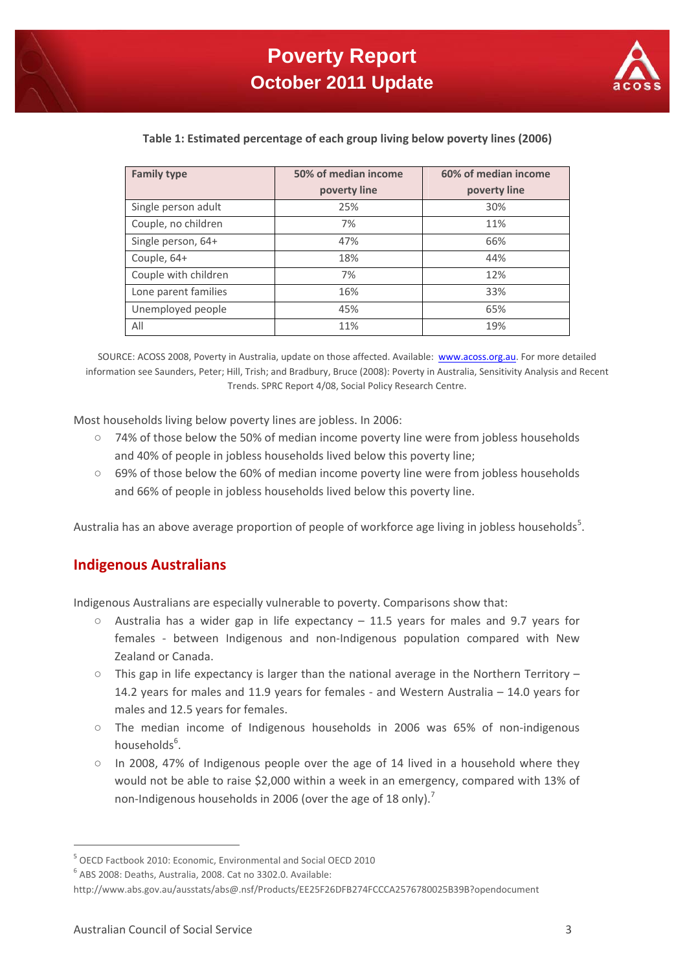

#### **Table 1: Estimated percentage of each group living below poverty lines (2006)**

| <b>Family type</b>   | 50% of median income | 60% of median income |
|----------------------|----------------------|----------------------|
|                      | poverty line         | poverty line         |
| Single person adult  | 25%                  | 30%                  |
| Couple, no children  | 7%                   | 11%                  |
| Single person, 64+   | 47%                  | 66%                  |
| Couple, 64+          | 18%                  | 44%                  |
| Couple with children | 7%                   | 12%                  |
| Lone parent families | 16%                  | 33%                  |
| Unemployed people    | 45%                  | 65%                  |
| All                  | 11%                  | 19%                  |

SOURCE: ACOSS 2008, Poverty in Australia, update on those affected. Available: www.acoss.org.au. For more detailed information see Saunders, Peter; Hill, Trish; and Bradbury, Bruce (2008): Poverty in Australia, Sensitivity Analysis and Recent Trends. SPRC Report 4/08, Social Policy Research Centre.

Most households living below poverty lines are jobless. In 2006:

- 74% of those below the 50% of median income poverty line were from jobless households and 40% of people in jobless households lived below this poverty line;
- 69% of those below the 60% of median income poverty line were from jobless households and 66% of people in jobless households lived below this poverty line.

Australia has an above average proportion of people of workforce age living in jobless households<sup>5</sup>.

#### **Indigenous Australians**

Indigenous Australians are especially vulnerable to poverty. Comparisons show that:

- Australia has a wider gap in life expectancy  $-$  11.5 years for males and 9.7 years for females - between Indigenous and non-Indigenous population compared with New Zealand or Canada.
- This gap in life expectancy is larger than the national average in the Northern Territory 14.2 years for males and 11.9 years for females ‐ and Western Australia – 14.0 years for males and 12.5 years for females.
- The median income of Indigenous households in 2006 was 65% of non‐indigenous households<sup>6</sup>.
- In 2008, 47% of Indigenous people over the age of 14 lived in a household where they would not be able to raise \$2,000 within a week in an emergency, compared with 13% of non-Indigenous households in 2006 (over the age of 18 only).<sup>7</sup>

<sup>5</sup> OECD Factbook 2010: Economic, Environmental and Social OECD 2010

<sup>6</sup> ABS 2008: Deaths, Australia, 2008. Cat no 3302.0. Available:

http://www.abs.gov.au/ausstats/abs@.nsf/Products/EE25F26DFB274FCCCA2576780025B39B?opendocument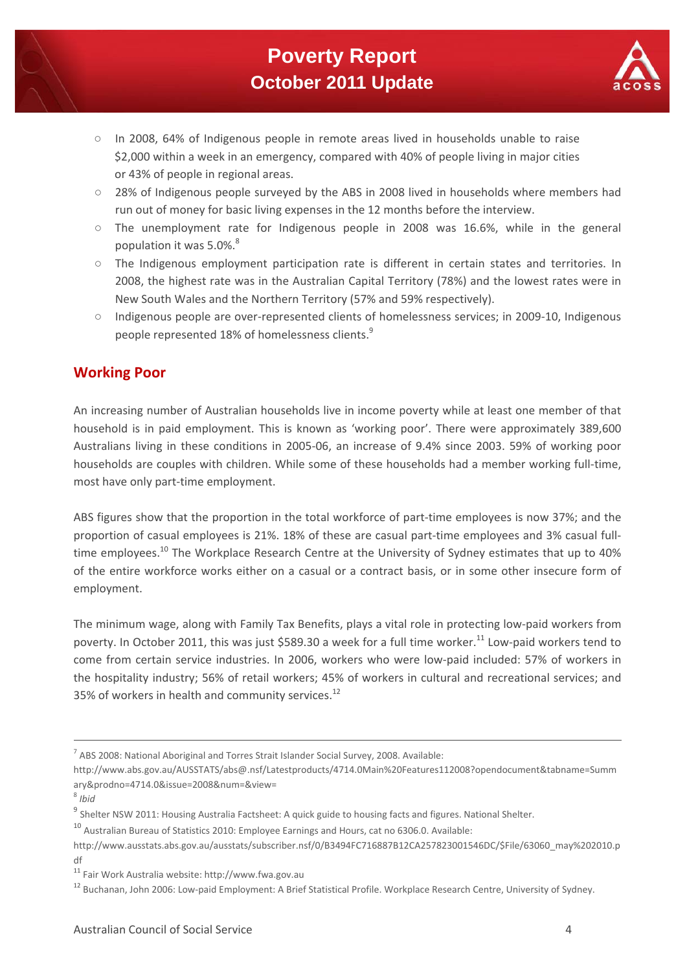

- In 2008, 64% of Indigenous people in remote areas lived in households unable to raise \$2,000 within a week in an emergency, compared with 40% of people living in major cities or 43% of people in regional areas.
- 28% of Indigenous people surveyed by the ABS in 2008 lived in households where members had run out of money for basic living expenses in the 12 months before the interview.
- The unemployment rate for Indigenous people in 2008 was 16.6%, while in the general population it was 5.0%.<sup>8</sup>
- The Indigenous employment participation rate is different in certain states and territories. In 2008, the highest rate was in the Australian Capital Territory (78%) and the lowest rates were in New South Wales and the Northern Territory (57% and 59% respectively).
- Indigenous people are over-represented clients of homelessness services; in 2009-10, Indigenous people represented 18% of homelessness clients.<sup>9</sup>

## **Working Poor**

An increasing number of Australian households live in income poverty while at least one member of that household is in paid employment. This is known as 'working poor'. There were approximately 389,600 Australians living in these conditions in 2005‐06, an increase of 9.4% since 2003. 59% of working poor households are couples with children. While some of these households had a member working full‐time, most have only part‐time employment.

ABS figures show that the proportion in the total workforce of part-time employees is now 37%; and the proportion of casual employees is 21%. 18% of these are casual part-time employees and 3% casual fulltime employees.<sup>10</sup> The Workplace Research Centre at the University of Sydney estimates that up to 40% of the entire workforce works either on a casual or a contract basis, or in some other insecure form of employment.

The minimum wage, along with Family Tax Benefits, plays a vital role in protecting low‐paid workers from poverty. In October 2011, this was just \$589.30 a week for a full time worker.<sup>11</sup> Low-paid workers tend to come from certain service industries. In 2006, workers who were low-paid included: 57% of workers in the hospitality industry; 56% of retail workers; 45% of workers in cultural and recreational services; and 35% of workers in health and community services.<sup>12</sup>

<u> 1989 - Andrea Santa Andrea Santa Andrea Andrea Santa Andrea Andrea Andrea Andrea Andrea Andrea Andrea Andrea</u>

<sup>7</sup> ABS 2008: National Aboriginal and Torres Strait Islander Social Survey, 2008. Available:

http://www.abs.gov.au/AUSSTATS/abs@.nsf/Latestproducts/4714.0Main%20Features112008?opendocument&tabname=Summ ary&prodno=4714.0&issue=2008&num=&view=

<sup>8</sup> *Ibid*

<sup>&</sup>lt;sup>9</sup> Shelter NSW 2011: Housing Australia Factsheet: A quick guide to housing facts and figures. National Shelter.

<sup>10</sup> Australian Bureau of Statistics 2010: Employee Earnings and Hours, cat no 6306.0. Available:

http://www.ausstats.abs.gov.au/ausstats/subscriber.nsf/0/B3494FC716887B12CA257823001546DC/\$File/63060\_may%202010.p df

<sup>11</sup> Fair Work Australia website: http://www.fwa.gov.au

<sup>&</sup>lt;sup>12</sup> Buchanan, John 2006: Low-paid Employment: A Brief Statistical Profile. Workplace Research Centre, University of Sydney.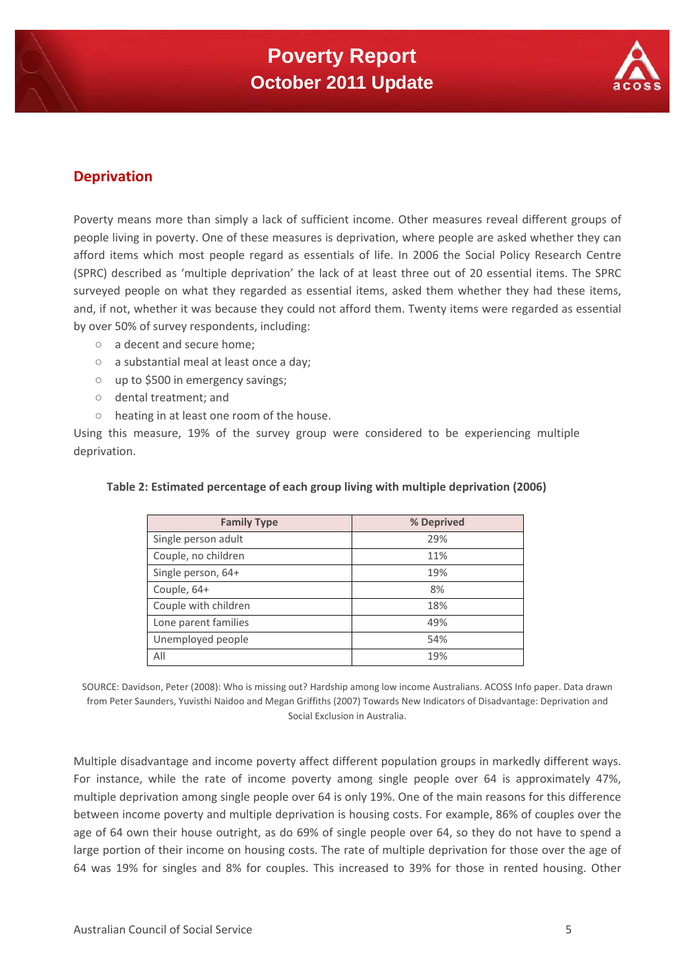

## **Deprivation**

Poverty means more than simply a lack of sufficient income. Other measures reveal different groups of people living in poverty. One of these measures is deprivation, where people are asked whether they can afford items which most people regard as essentials of life. In 2006 the Social Policy Research Centre (SPRC) described as 'multiple deprivation' the lack of at least three out of 20 essential items. The SPRC surveyed people on what they regarded as essential items, asked them whether they had these items, and, if not, whether it was because they could not afford them. Twenty items were regarded as essential by over 50% of survey respondents, including:

- a decent and secure home;
- a substantial meal at least once a day;
- up to \$500 in emergency savings;
- dental treatment; and
- heating in at least one room of the house.

Using this measure, 19% of the survey group were considered to be experiencing multiple deprivation.

| <b>Family Type</b>   | % Deprived |
|----------------------|------------|
| Single person adult  | 29%        |
| Couple, no children  | 11%        |
| Single person, 64+   | 19%        |
| Couple, 64+          | 8%         |
| Couple with children | 18%        |
| Lone parent families | 49%        |
| Unemployed people    | 54%        |
| All                  | 19%        |

#### **Table 2: Estimated percentage of each group living with multiple deprivation (2006)**

SOURCE: Davidson, Peter (2008): Who is missing out? Hardship among low income Australians. ACOSS Info paper. Data drawn from Peter Saunders, Yuvisthi Naidoo and Megan Griffiths (2007) Towards New Indicators of Disadvantage: Deprivation and Social Exclusion in Australia.

Multiple disadvantage and income poverty affect different population groups in markedly different ways. For instance, while the rate of income poverty among single people over 64 is approximately 47%, multiple deprivation among single people over 64 is only 19%. One of the main reasons for this difference between income poverty and multiple deprivation is housing costs. For example, 86% of couples over the age of 64 own their house outright, as do 69% of single people over 64, so they do not have to spend a large portion of their income on housing costs. The rate of multiple deprivation for those over the age of 64 was 19% for singles and 8% for couples. This increased to 39% for those in rented housing. Other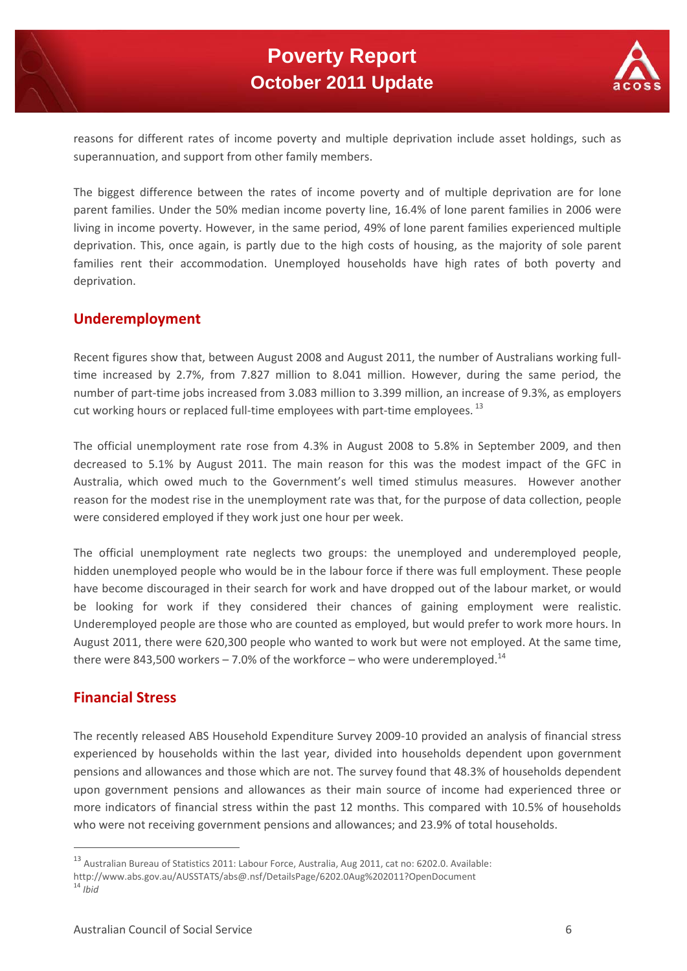

reasons for different rates of income poverty and multiple deprivation include asset holdings, such as superannuation, and support from other family members.

The biggest difference between the rates of income poverty and of multiple deprivation are for lone parent families. Under the 50% median income poverty line, 16.4% of lone parent families in 2006 were living in income poverty. However, in the same period, 49% of lone parent families experienced multiple deprivation. This, once again, is partly due to the high costs of housing, as the majority of sole parent families rent their accommodation. Unemployed households have high rates of both poverty and deprivation.

## **Underemployment**

Recent figures show that, between August 2008 and August 2011, the number of Australians working fulltime increased by 2.7%, from 7.827 million to 8.041 million. However, during the same period, the number of part-time jobs increased from 3.083 million to 3.399 million, an increase of 9.3%, as employers cut working hours or replaced full-time employees with part-time employees.  $^{13}$ 

The official unemployment rate rose from 4.3% in August 2008 to 5.8% in September 2009, and then decreased to 5.1% by August 2011. The main reason for this was the modest impact of the GFC in Australia, which owed much to the Government's well timed stimulus measures. However another reason for the modest rise in the unemployment rate was that, for the purpose of data collection, people were considered employed if they work just one hour per week.

The official unemployment rate neglects two groups: the unemployed and underemployed people, hidden unemployed people who would be in the labour force if there was full employment. These people have become discouraged in their search for work and have dropped out of the labour market, or would be looking for work if they considered their chances of gaining employment were realistic. Underemployed people are those who are counted as employed, but would prefer to work more hours. In August 2011, there were 620,300 people who wanted to work but were not employed. At the same time, there were 843,500 workers  $-$  7.0% of the workforce – who were underemployed.<sup>14</sup>

## **Financial Stress**

The recently released ABS Household Expenditure Survey 2009‐10 provided an analysis of financial stress experienced by households within the last year, divided into households dependent upon government pensions and allowances and those which are not. The survey found that 48.3% of households dependent upon government pensions and allowances as their main source of income had experienced three or more indicators of financial stress within the past 12 months. This compared with 10.5% of households who were not receiving government pensions and allowances; and 23.9% of total households.

<sup>13</sup> Australian Bureau of Statistics 2011: Labour Force, Australia, Aug 2011, cat no: 6202.0. Available:

http://www.abs.gov.au/AUSSTATS/abs@.nsf/DetailsPage/6202.0Aug%202011?OpenDocument <sup>14</sup> *Ibid*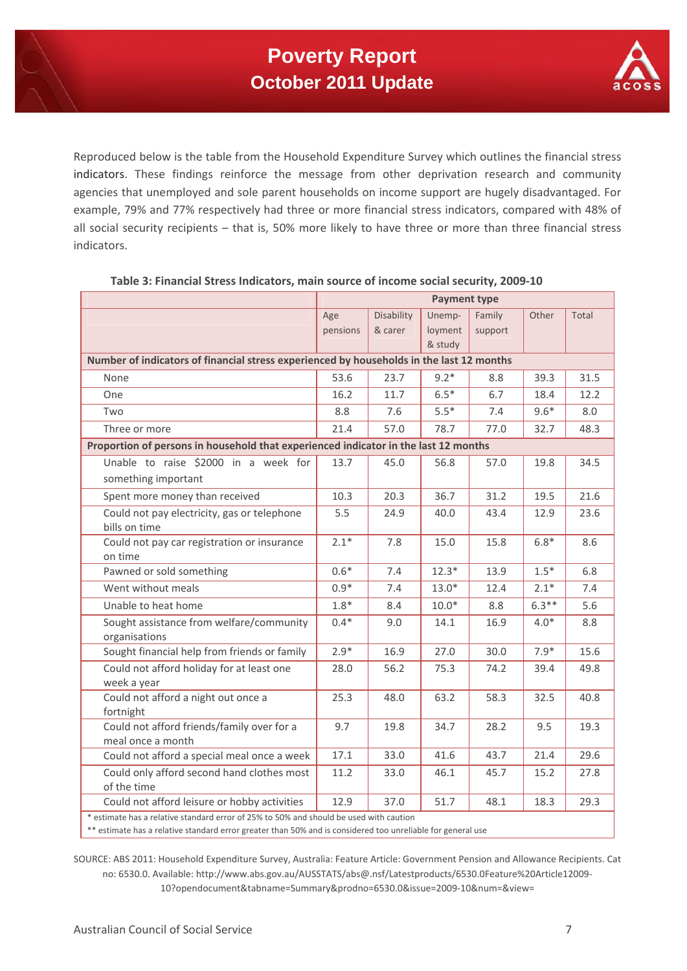

Reproduced below is the table from the Household Expenditure Survey which outlines the financial stress indicators. These findings reinforce the message from other deprivation research and community agencies that unemployed and sole parent households on income support are hugely disadvantaged. For example, 79% and 77% respectively had three or more financial stress indicators, compared with 48% of all social security recipients – that is, 50% more likely to have three or more than three financial stress indicators.

|                                                                                        | <b>Payment type</b>                                                                      |            |         |         |         |       |  |
|----------------------------------------------------------------------------------------|------------------------------------------------------------------------------------------|------------|---------|---------|---------|-------|--|
|                                                                                        | Age                                                                                      | Disability | Unemp-  | Family  | Other   | Total |  |
|                                                                                        | pensions                                                                                 | & carer    | loyment | support |         |       |  |
|                                                                                        |                                                                                          |            | & study |         |         |       |  |
|                                                                                        | Number of indicators of financial stress experienced by households in the last 12 months |            |         |         |         |       |  |
| None                                                                                   | 53.6                                                                                     | 23.7       | $9.2*$  | 8.8     | 39.3    | 31.5  |  |
| One                                                                                    | 16.2                                                                                     | 11.7       | $6.5*$  | 6.7     | 18.4    | 12.2  |  |
| Two                                                                                    | 8.8                                                                                      | 7.6        | $5.5*$  | 7.4     | $9.6*$  | 8.0   |  |
| Three or more                                                                          | 21.4                                                                                     | 57.0       | 78.7    | 77.0    | 32.7    | 48.3  |  |
| Proportion of persons in household that experienced indicator in the last 12 months    |                                                                                          |            |         |         |         |       |  |
| Unable to raise \$2000 in a week for                                                   | 13.7                                                                                     | 45.0       | 56.8    | 57.0    | 19.8    | 34.5  |  |
| something important                                                                    |                                                                                          |            |         |         |         |       |  |
| Spent more money than received                                                         | 10.3                                                                                     | 20.3       | 36.7    | 31.2    | 19.5    | 21.6  |  |
| Could not pay electricity, gas or telephone                                            | 5.5                                                                                      | 24.9       | 40.0    | 43.4    | 12.9    | 23.6  |  |
| bills on time                                                                          |                                                                                          |            |         |         |         |       |  |
| Could not pay car registration or insurance                                            | $2.1*$                                                                                   | 7.8        | 15.0    | 15.8    | $6.8*$  | 8.6   |  |
| on time                                                                                |                                                                                          |            |         |         |         |       |  |
| Pawned or sold something                                                               | $0.6*$                                                                                   | 7.4        | $12.3*$ | 13.9    | $1.5*$  | 6.8   |  |
| Went without meals                                                                     | $0.9*$                                                                                   | 7.4        | $13.0*$ | 12.4    | $2.1*$  | 7.4   |  |
| Unable to heat home                                                                    | $1.8*$                                                                                   | 8.4        | $10.0*$ | 8.8     | $6.3**$ | 5.6   |  |
| Sought assistance from welfare/community                                               | $0.4*$                                                                                   | 9.0        | 14.1    | 16.9    | $4.0*$  | 8.8   |  |
| organisations                                                                          |                                                                                          |            |         |         |         |       |  |
| Sought financial help from friends or family                                           | $2.9*$                                                                                   | 16.9       | 27.0    | 30.0    | $7.9*$  | 15.6  |  |
| Could not afford holiday for at least one                                              | 28.0                                                                                     | 56.2       | 75.3    | 74.2    | 39.4    | 49.8  |  |
| week a year                                                                            |                                                                                          |            |         |         |         |       |  |
| Could not afford a night out once a<br>fortnight                                       | 25.3                                                                                     | 48.0       | 63.2    | 58.3    | 32.5    | 40.8  |  |
| Could not afford friends/family over for a                                             | 9.7                                                                                      | 19.8       | 34.7    | 28.2    | 9.5     | 19.3  |  |
| meal once a month                                                                      |                                                                                          |            |         |         |         |       |  |
| Could not afford a special meal once a week                                            | 17.1                                                                                     | 33.0       | 41.6    | 43.7    | 21.4    | 29.6  |  |
| Could only afford second hand clothes most                                             | 11.2                                                                                     | 33.0       | 46.1    | 45.7    | 15.2    | 27.8  |  |
| of the time                                                                            |                                                                                          |            |         |         |         |       |  |
| Could not afford leisure or hobby activities                                           | 12.9                                                                                     | 37.0       | 51.7    | 48.1    | 18.3    | 29.3  |  |
| * estimate has a relative standard error of 25% to 50% and should be used with caution |                                                                                          |            |         |         |         |       |  |

#### **Table 3: Financial Stress Indicators, main source of income social security, 2009‐10**

\*\* estimate has a relative standard error greater than 50% and is considered too unreliable for general use

SOURCE: ABS 2011: Household Expenditure Survey, Australia: Feature Article: Government Pension and Allowance Recipients. Cat no: 6530.0. Available: http://www.abs.gov.au/AUSSTATS/abs@.nsf/Latestproducts/6530.0Feature%20Article12009‐ 10?opendocument&tabname=Summary&prodno=6530.0&issue=2009‐10&num=&view=

п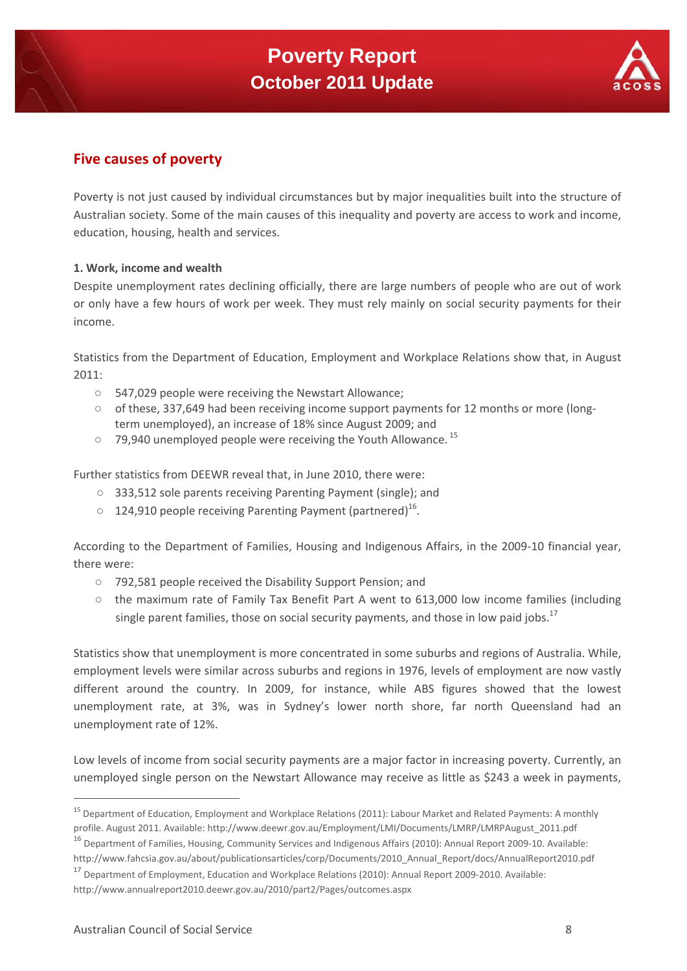

## **Five causes of poverty**

Poverty is not just caused by individual circumstances but by major inequalities built into the structure of Australian society. Some of the main causes of this inequality and poverty are access to work and income, education, housing, health and services.

#### **1. Work, income and wealth**

Despite unemployment rates declining officially, there are large numbers of people who are out of work or only have a few hours of work per week. They must rely mainly on social security payments for their income.

Statistics from the Department of Education, Employment and Workplace Relations show that, in August 2011:

- 547,029 people were receiving the Newstart Allowance;
- of these, 337,649 had been receiving income support payments for 12 months or more (longterm unemployed), an increase of 18% since August 2009; and
- 79,940 unemployed people were receiving the Youth Allowance.<sup>15</sup>

Further statistics from DEEWR reveal that, in June 2010, there were:

- 333,512 sole parents receiving Parenting Payment (single); and
- $\circ$  124,910 people receiving Parenting Payment (partnered)<sup>16</sup>.

According to the Department of Families, Housing and Indigenous Affairs, in the 2009‐10 financial year, there were:

- 792,581 people received the Disability Support Pension; and
- the maximum rate of Family Tax Benefit Part A went to 613,000 low income families (including single parent families, those on social security payments, and those in low paid jobs.<sup>17</sup>

Statistics show that unemployment is more concentrated in some suburbs and regions of Australia. While, employment levels were similar across suburbs and regions in 1976, levels of employment are now vastly different around the country. In 2009, for instance, while ABS figures showed that the lowest unemployment rate, at 3%, was in Sydney's lower north shore, far north Queensland had an unemployment rate of 12%.

Low levels of income from social security payments are a major factor in increasing poverty. Currently, an unemployed single person on the Newstart Allowance may receive as little as \$243 a week in payments,

http://www.annualreport2010.deewr.gov.au/2010/part2/Pages/outcomes.aspx

<sup>&</sup>lt;sup>15</sup> Department of Education, Employment and Workplace Relations (2011): Labour Market and Related Payments: A monthly profile. August 2011. Available: http://www.deewr.gov.au/Employment/LMI/Documents/LMRP/LMRPAugust\_2011.pdf

<sup>&</sup>lt;sup>16</sup> Department of Families, Housing, Community Services and Indigenous Affairs (2010): Annual Report 2009-10. Available: http://www.fahcsia.gov.au/about/publicationsarticles/corp/Documents/2010\_Annual\_Report/docs/AnnualReport2010.pdf

<sup>&</sup>lt;sup>17</sup> Department of Employment, Education and Workplace Relations (2010): Annual Report 2009‐2010. Available: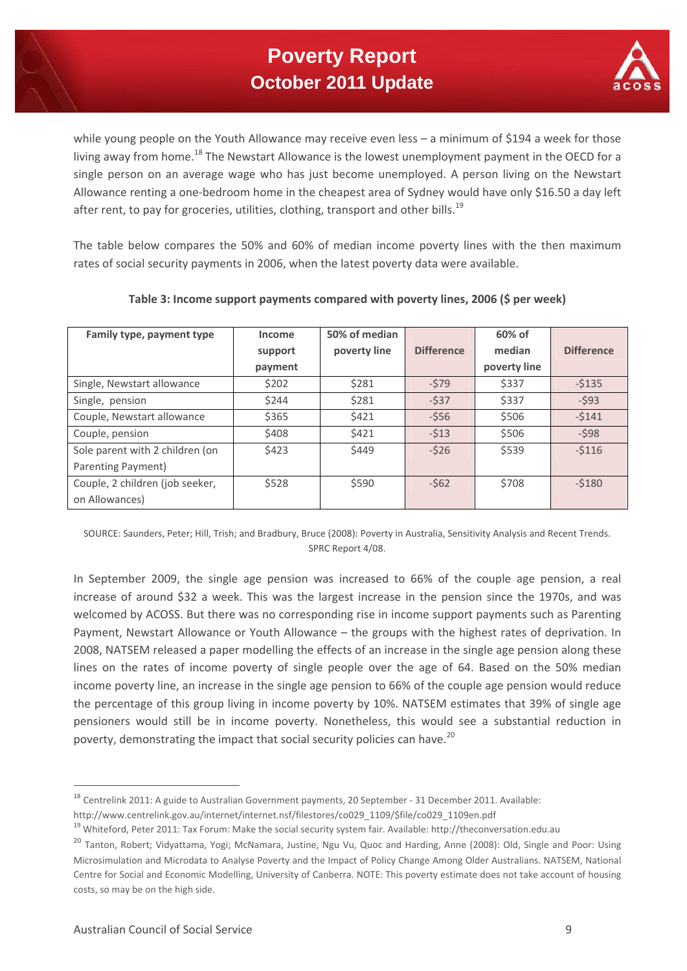## **Poverty Report October 2011 Update**



while young people on the Youth Allowance may receive even less – a minimum of \$194 a week for those living away from home.<sup>18</sup> The Newstart Allowance is the lowest unemployment payment in the OECD for a single person on an average wage who has just become unemployed. A person living on the Newstart Allowance renting a one‐bedroom home in the cheapest area of Sydney would have only \$16.50 a day left after rent, to pay for groceries, utilities, clothing, transport and other bills.<sup>19</sup>

The table below compares the 50% and 60% of median income poverty lines with the then maximum rates of social security payments in 2006, when the latest poverty data were available.

| Family type, payment type       | Income  | 50% of median |                   | 60% of       |                   |
|---------------------------------|---------|---------------|-------------------|--------------|-------------------|
|                                 | support | poverty line  | <b>Difference</b> | median       | <b>Difference</b> |
|                                 | payment |               |                   | poverty line |                   |
| Single, Newstart allowance      | \$202   | \$281         | $-579$            | \$337        | $-5135$           |
| Single, pension                 | \$244   | \$281         | $-537$            | \$337        | $-593$            |
| Couple, Newstart allowance      | \$365   | \$421         | $-556$            | \$506        | $-5141$           |
| Couple, pension                 | \$408   | \$421         | $-513$            | \$506        | $-598$            |
| Sole parent with 2 children (on | \$423   | \$449         | $-526$            | \$539        | $-5116$           |
| Parenting Payment)              |         |               |                   |              |                   |
| Couple, 2 children (job seeker, | \$528   | \$590         | $-562$            | \$708        | $-5180$           |
| on Allowances)                  |         |               |                   |              |                   |

#### **Table 3: Income support payments compared with poverty lines, 2006 (\$ per week)**

SOURCE: Saunders, Peter; Hill, Trish; and Bradbury, Bruce (2008): Poverty in Australia, Sensitivity Analysis and Recent Trends. SPRC Report 4/08.

In September 2009, the single age pension was increased to 66% of the couple age pension, a real increase of around \$32 a week. This was the largest increase in the pension since the 1970s, and was welcomed by ACOSS. But there was no corresponding rise in income support payments such as Parenting Payment, Newstart Allowance or Youth Allowance – the groups with the highest rates of deprivation. In 2008, NATSEM released a paper modelling the effects of an increase in the single age pension along these lines on the rates of income poverty of single people over the age of 64. Based on the 50% median income poverty line, an increase in the single age pension to 66% of the couple age pension would reduce the percentage of this group living in income poverty by 10%. NATSEM estimates that 39% of single age pensioners would still be in income poverty. Nonetheless, this would see a substantial reduction in poverty, demonstrating the impact that social security policies can have.<sup>20</sup>

<sup>&</sup>lt;sup>18</sup> Centrelink 2011: A guide to Australian Government payments, 20 September - 31 December 2011. Available: http://www.centrelink.gov.au/internet/internet.nsf/filestores/co029\_1109/\$file/co029\_1109en.pdf

<sup>19</sup> Whiteford, Peter 2011: Tax Forum: Make the social security system fair. Available: http://theconversation.edu.au

<sup>&</sup>lt;sup>20</sup> Tanton, Robert; Vidyattama, Yogi; McNamara, Justine, Ngu Vu, Quoc and Harding, Anne (2008): Old, Single and Poor: Using Microsimulation and Microdata to Analyse Poverty and the Impact of Policy Change Among Older Australians. NATSEM, National Centre for Social and Economic Modelling, University of Canberra. NOTE: This poverty estimate does not take account of housing costs, so may be on the high side.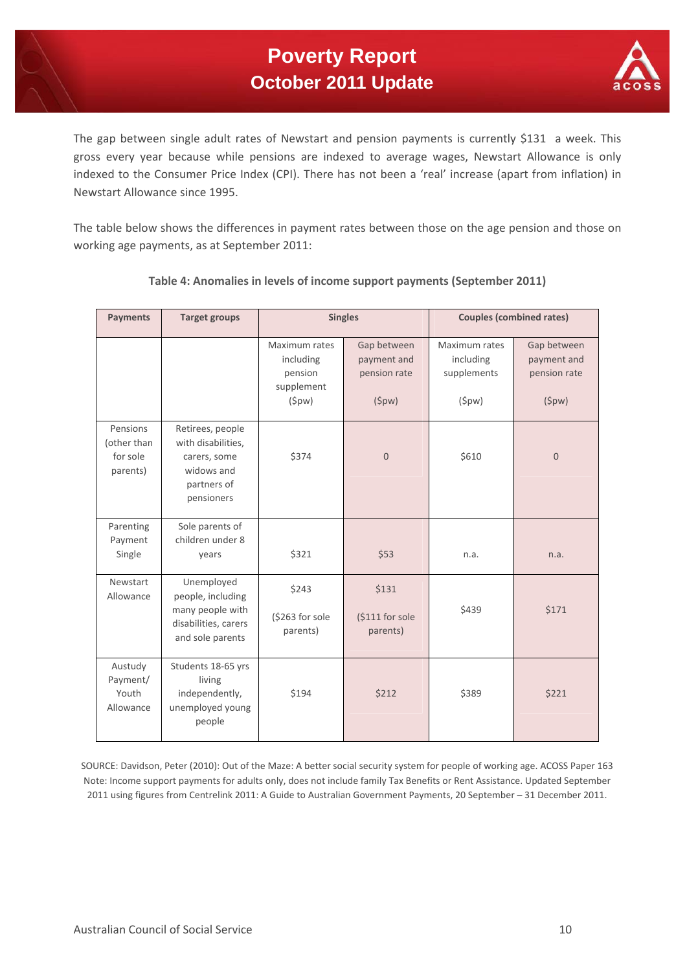

The gap between single adult rates of Newstart and pension payments is currently \$131 a week. This gross every year because while pensions are indexed to average wages, Newstart Allowance is only indexed to the Consumer Price Index (CPI). There has not been a 'real' increase (apart from inflation) in Newstart Allowance since 1995.

The table below shows the differences in payment rates between those on the age pension and those on working age payments, as at September 2011:

| <b>Payments</b>                                 | <b>Target groups</b>                                                                              | <b>Singles</b>                                                        |                                                     | <b>Couples (combined rates)</b>                    |                                                     |
|-------------------------------------------------|---------------------------------------------------------------------------------------------------|-----------------------------------------------------------------------|-----------------------------------------------------|----------------------------------------------------|-----------------------------------------------------|
|                                                 |                                                                                                   | Maximum rates<br>including<br>pension<br>supplement<br>( <i>spw</i> ) | Gap between<br>payment and<br>pension rate<br>(5pw) | Maximum rates<br>including<br>supplements<br>(5pw) | Gap between<br>payment and<br>pension rate<br>(5pw) |
| Pensions<br>(other than<br>for sole<br>parents) | Retirees, people<br>with disabilities,<br>carers, some<br>widows and<br>partners of<br>pensioners | \$374                                                                 | $\mathbf{0}$                                        | \$610                                              | $\mathbf{0}$                                        |
| Parenting<br>Payment<br>Single                  | Sole parents of<br>children under 8<br>years                                                      | \$321                                                                 | \$53                                                | n.a.                                               | n.a.                                                |
| <b>Newstart</b><br>Allowance                    | Unemployed<br>people, including<br>many people with<br>disabilities, carers<br>and sole parents   | \$243<br>(\$263 for sole<br>parents)                                  | \$131<br>(\$111 for sole<br>parents)                | \$439                                              | \$171                                               |
| Austudy<br>Payment/<br>Youth<br>Allowance       | Students 18-65 yrs<br>living<br>independently,<br>unemployed young<br>people                      | \$194                                                                 | \$212                                               | \$389                                              | \$221                                               |

#### **Table 4: Anomalies in levels of income support payments (September 2011)**

SOURCE: Davidson, Peter (2010): Out of the Maze: A better social security system for people of working age. ACOSS Paper 163 Note: Income support payments for adults only, does not include family Tax Benefits or Rent Assistance. Updated September 2011 using figures from Centrelink 2011: A Guide to Australian Government Payments, 20 September – 31 December 2011.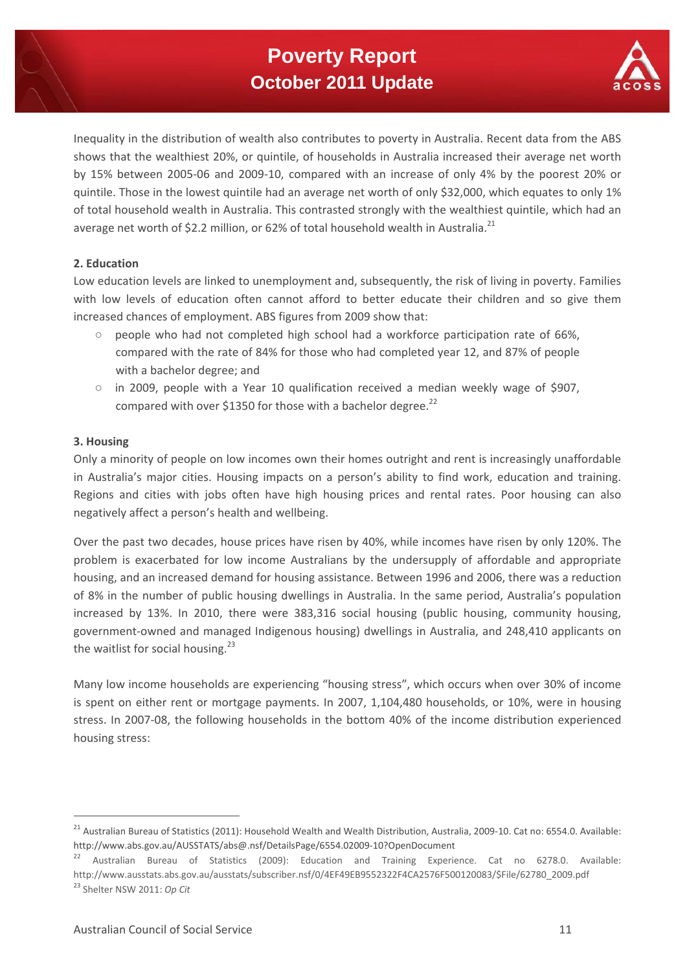## **Poverty Report October 2011 Update**



Inequality in the distribution of wealth also contributes to poverty in Australia. Recent data from the ABS shows that the wealthiest 20%, or quintile, of households in Australia increased their average net worth by 15% between 2005‐06 and 2009‐10, compared with an increase of only 4% by the poorest 20% or quintile. Those in the lowest quintile had an average net worth of only \$32,000, which equates to only 1% of total household wealth in Australia. This contrasted strongly with the wealthiest quintile, which had an average net worth of \$2.2 million, or 62% of total household wealth in Australia.<sup>21</sup>

#### **2. Education**

Low education levels are linked to unemployment and, subsequently, the risk of living in poverty. Families with low levels of education often cannot afford to better educate their children and so give them increased chances of employment. ABS figures from 2009 show that:

- people who had not completed high school had a workforce participation rate of 66%, compared with the rate of 84% for those who had completed year 12, and 87% of people with a bachelor degree; and
- $\circ$  in 2009, people with a Year 10 qualification received a median weekly wage of \$907. compared with over \$1350 for those with a bachelor degree. $^{22}$

#### **3. Housing**

Only a minority of people on low incomes own their homes outright and rent is increasingly unaffordable in Australia's major cities. Housing impacts on a person's ability to find work, education and training. Regions and cities with jobs often have high housing prices and rental rates. Poor housing can also negatively affect a person's health and wellbeing.

Over the past two decades, house prices have risen by 40%, while incomes have risen by only 120%. The problem is exacerbated for low income Australians by the undersupply of affordable and appropriate housing, and an increased demand for housing assistance. Between 1996 and 2006, there was a reduction of 8% in the number of public housing dwellings in Australia. In the same period, Australia's population increased by 13%. In 2010, there were 383,316 social housing (public housing, community housing, government‐owned and managed Indigenous housing) dwellings in Australia, and 248,410 applicants on the waitlist for social housing.<sup>23</sup>

Many low income households are experiencing "housing stress", which occurs when over 30% of income is spent on either rent or mortgage payments. In 2007, 1,104,480 households, or 10%, were in housing stress. In 2007‐08, the following households in the bottom 40% of the income distribution experienced housing stress:

<sup>&</sup>lt;sup>21</sup> Australian Bureau of Statistics (2011): Household Wealth and Wealth Distribution, Australia, 2009-10. Cat no: 6554.0. Available: http://www.abs.gov.au/AUSSTATS/abs@.nsf/DetailsPage/6554.02009‐10?OpenDocument

<sup>&</sup>lt;sup>22</sup> Australian Bureau of Statistics (2009): Education and Training Experience. Cat no 6278.0. Available: http://www.ausstats.abs.gov.au/ausstats/subscriber.nsf/0/4EF49EB9552322F4CA2576F500120083/\$File/62780\_2009.pdf <sup>23</sup> Shelter NSW 2011: *Op Cit*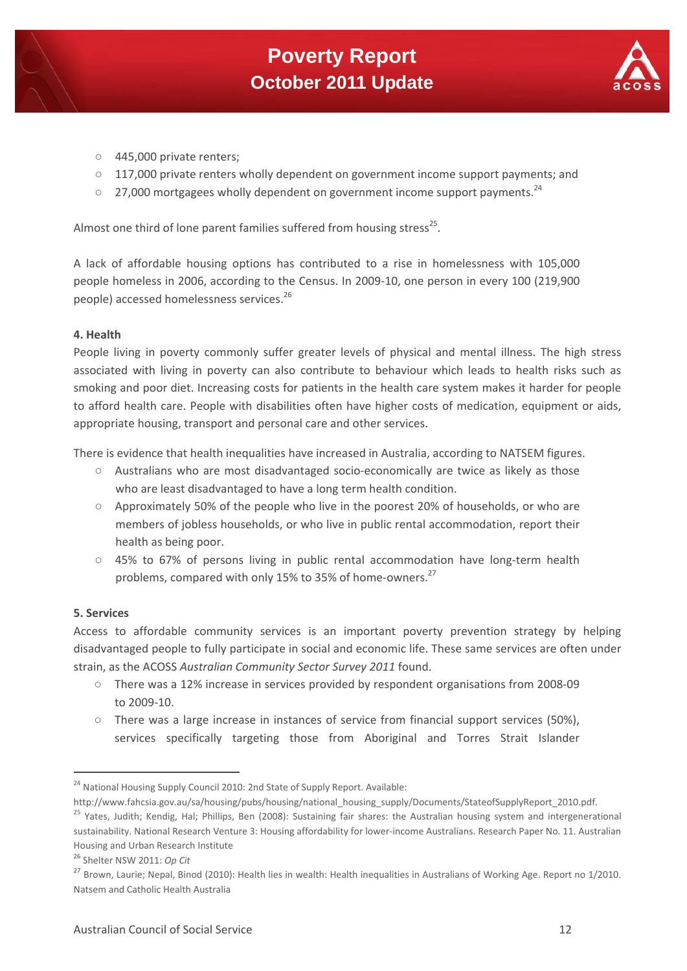

- 445,000 private renters;
- $\circ$  117,000 private renters wholly dependent on government income support payments; and
- $\degree$  27,000 mortgagees wholly dependent on government income support payments.<sup>24</sup>

Almost one third of lone parent families suffered from housing stress<sup>25</sup>.

A lack of affordable housing options has contributed to a rise in homelessness with 105,000 people homeless in 2006, according to the Census. In 2009‐10, one person in every 100 (219,900 people) accessed homelessness services.<sup>26</sup>

#### **4. Health**

People living in poverty commonly suffer greater levels of physical and mental illness. The high stress associated with living in poverty can also contribute to behaviour which leads to health risks such as smoking and poor diet. Increasing costs for patients in the health care system makes it harder for people to afford health care. People with disabilities often have higher costs of medication, equipment or aids, appropriate housing, transport and personal care and other services.

There is evidence that health inequalities have increased in Australia, according to NATSEM figures.

- Australians who are most disadvantaged socio‐economically are twice as likely as those who are least disadvantaged to have a long term health condition.
- Approximately 50% of the people who live in the poorest 20% of households, or who are members of jobless households, or who live in public rental accommodation, report their health as being poor.
- 45% to 67% of persons living in public rental accommodation have long-term health problems, compared with only 15% to 35% of home-owners.<sup>27</sup>

#### **5. Services**

Access to affordable community services is an important poverty prevention strategy by helping disadvantaged people to fully participate in social and economic life. These same services are often under strain, as the ACOSS *Australian Community Sector Survey 2011* found.

- There was a 12% increase in services provided by respondent organisations from 2008‐09 to 2009‐10.
- There was a large increase in instances of service from financial support services (50%), services specifically targeting those from Aboriginal and Torres Strait Islander

<sup>&</sup>lt;sup>24</sup> National Housing Supply Council 2010: 2nd State of Supply Report. Available:

http://www.fahcsia.gov.au/sa/housing/pubs/housing/national\_housing\_supply/Documents/StateofSupplyReport\_2010.pdf.

<sup>&</sup>lt;sup>25</sup> Yates, Judith; Kendig, Hal; Phillips, Ben (2008): Sustaining fair shares: the Australian housing system and intergenerational sustainability. National Research Venture 3: Housing affordability for lower‐income Australians. Research Paper No. 11. Australian Housing and Urban Research Institute

<sup>26</sup> Shelter NSW 2011: *Op Cit*

<sup>&</sup>lt;sup>27</sup> Brown, Laurie; Nepal, Binod (2010): Health lies in wealth: Health inequalities in Australians of Working Age. Report no 1/2010. Natsem and Catholic Health Australia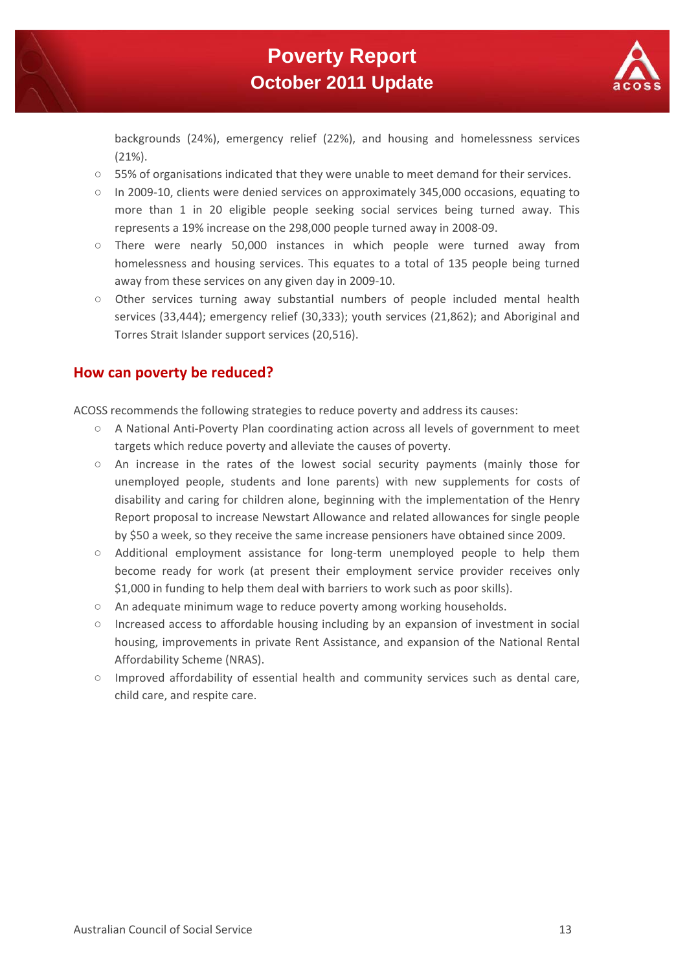

backgrounds (24%), emergency relief (22%), and housing and homelessness services (21%).

- $\circ$  55% of organisations indicated that they were unable to meet demand for their services.
- In 2009‐10, clients were denied services on approximately 345,000 occasions, equating to more than 1 in 20 eligible people seeking social services being turned away. This represents a 19% increase on the 298,000 people turned away in 2008‐09.
- There were nearly 50,000 instances in which people were turned away from homelessness and housing services. This equates to a total of 135 people being turned away from these services on any given day in 2009‐10.
- Other services turning away substantial numbers of people included mental health services (33,444); emergency relief (30,333); youth services (21,862); and Aboriginal and Torres Strait Islander support services (20,516).

## **How can poverty be reduced?**

ACOSS recommends the following strategies to reduce poverty and address its causes:

- A National Anti‐Poverty Plan coordinating action across all levels of government to meet targets which reduce poverty and alleviate the causes of poverty.
- An increase in the rates of the lowest social security payments (mainly those for unemployed people, students and lone parents) with new supplements for costs of disability and caring for children alone, beginning with the implementation of the Henry Report proposal to increase Newstart Allowance and related allowances for single people by \$50 a week, so they receive the same increase pensioners have obtained since 2009.
- Additional employment assistance for long-term unemployed people to help them become ready for work (at present their employment service provider receives only \$1,000 in funding to help them deal with barriers to work such as poor skills).
- An adequate minimum wage to reduce poverty among working households.
- Increased access to affordable housing including by an expansion of investment in social housing, improvements in private Rent Assistance, and expansion of the National Rental Affordability Scheme (NRAS).
- Improved affordability of essential health and community services such as dental care, child care, and respite care.